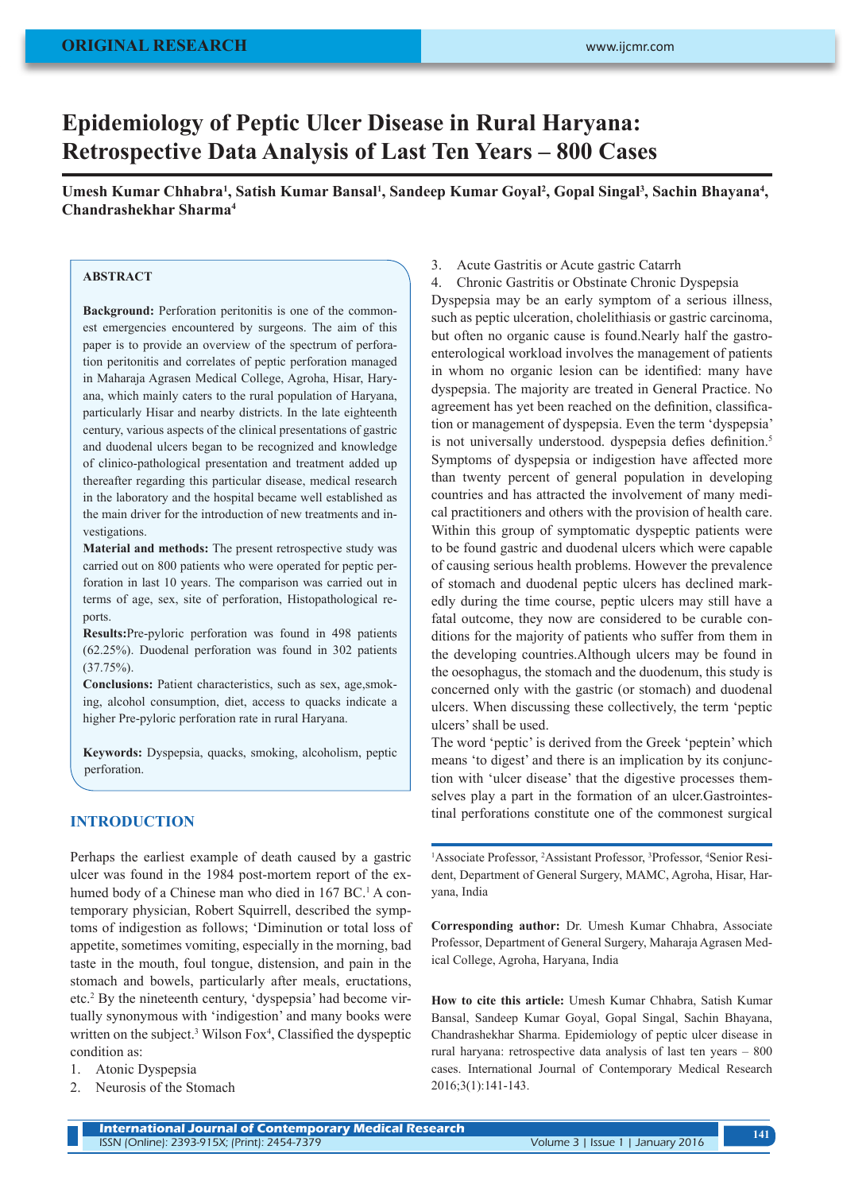# **Epidemiology of Peptic Ulcer Disease in Rural Haryana: Retrospective Data Analysis of Last Ten Years – 800 Cases**

Umesh Kumar Chhabra<sup>1</sup>, Satish Kumar Bansal<sup>1</sup>, Sandeep Kumar Goyal<sup>2</sup>, Gopal Singal<sup>3</sup>, Sachin Bhayana<sup>4</sup>, **Chandrashekhar Sharma4**

## **ABSTRACT**

**Background:** Perforation peritonitis is one of the commonest emergencies encountered by surgeons. The aim of this paper is to provide an overview of the spectrum of perforation peritonitis and correlates of peptic perforation managed in Maharaja Agrasen Medical College, Agroha, Hisar, Haryana, which mainly caters to the rural population of Haryana, particularly Hisar and nearby districts. In the late eighteenth century, various aspects of the clinical presentations of gastric and duodenal ulcers began to be recognized and knowledge of clinico-pathological presentation and treatment added up thereafter regarding this particular disease, medical research in the laboratory and the hospital became well established as the main driver for the introduction of new treatments and investigations.

**Material and methods:** The present retrospective study was carried out on 800 patients who were operated for peptic perforation in last 10 years. The comparison was carried out in terms of age, sex, site of perforation, Histopathological reports.

**Results:**Pre-pyloric perforation was found in 498 patients (62.25%). Duodenal perforation was found in 302 patients (37.75%).

**Conclusions:** Patient characteristics, such as sex, age,smoking, alcohol consumption, diet, access to quacks indicate a higher Pre-pyloric perforation rate in rural Haryana.

**Keywords:** Dyspepsia, quacks, smoking, alcoholism, peptic perforation.

## **INTRODUCTION**

Perhaps the earliest example of death caused by a gastric ulcer was found in the 1984 post-mortem report of the exhumed body of a Chinese man who died in 167 BC.<sup>1</sup> A contemporary physician, Robert Squirrell, described the symptoms of indigestion as follows; 'Diminution or total loss of appetite, sometimes vomiting, especially in the morning, bad taste in the mouth, foul tongue, distension, and pain in the stomach and bowels, particularly after meals, eructations, etc.<sup>2</sup> By the nineteenth century, 'dyspepsia' had become virtually synonymous with 'indigestion' and many books were written on the subject.<sup>3</sup> Wilson Fox<sup>4</sup>, Classified the dyspeptic condition as:

- 1. Atonic Dyspepsia
- 2. Neurosis of the Stomach

3. Acute Gastritis or Acute gastric Catarrh

4. Chronic Gastritis or Obstinate Chronic Dyspepsia Dyspepsia may be an early symptom of a serious illness, such as peptic ulceration, cholelithiasis or gastric carcinoma, but often no organic cause is found.Nearly half the gastroenterological workload involves the management of patients in whom no organic lesion can be identified: many have dyspepsia. The majority are treated in General Practice. No agreement has yet been reached on the definition, classification or management of dyspepsia. Even the term 'dyspepsia' is not universally understood. dyspepsia defies definition.<sup>5</sup> Symptoms of dyspepsia or indigestion have affected more than twenty percent of general population in developing countries and has attracted the involvement of many medical practitioners and others with the provision of health care. Within this group of symptomatic dyspeptic patients were to be found gastric and duodenal ulcers which were capable of causing serious health problems. However the prevalence of stomach and duodenal peptic ulcers has declined markedly during the time course, peptic ulcers may still have a fatal outcome, they now are considered to be curable conditions for the majority of patients who suffer from them in the developing countries.Although ulcers may be found in the oesophagus, the stomach and the duodenum, this study is concerned only with the gastric (or stomach) and duodenal ulcers. When discussing these collectively, the term 'peptic ulcers' shall be used.

The word 'peptic' is derived from the Greek 'peptein' which means 'to digest' and there is an implication by its conjunction with 'ulcer disease' that the digestive processes themselves play a part in the formation of an ulcer.Gastrointestinal perforations constitute one of the commonest surgical

<sup>1</sup>Associate Professor, <sup>2</sup>Assistant Professor, <sup>3</sup>Professor, <sup>4</sup>Senior Resident, Department of General Surgery, MAMC, Agroha, Hisar, Haryana, India

**Corresponding author:** Dr. Umesh Kumar Chhabra, Associate Professor, Department of General Surgery, Maharaja Agrasen Medical College, Agroha, Haryana, India

**How to cite this article:** Umesh Kumar Chhabra, Satish Kumar Bansal, Sandeep Kumar Goyal, Gopal Singal, Sachin Bhayana, Chandrashekhar Sharma. Epidemiology of peptic ulcer disease in rural haryana: retrospective data analysis of last ten years – 800 cases. International Journal of Contemporary Medical Research 2016;3(1):141-143.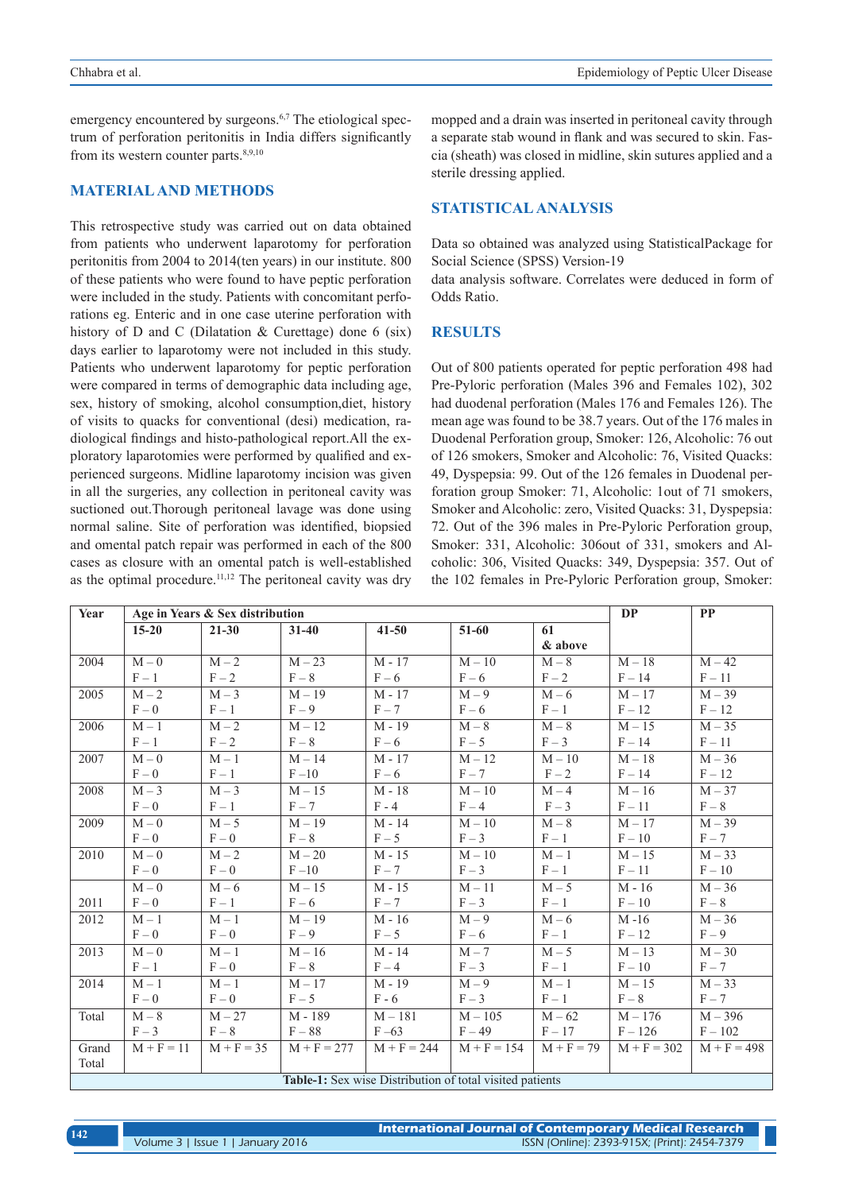emergency encountered by surgeons.<sup>6,7</sup> The etiological spectrum of perforation peritonitis in India differs significantly from its western counter parts. $8,9,10$ 

## **MATERIAL AND METHODS**

This retrospective study was carried out on data obtained from patients who underwent laparotomy for perforation peritonitis from 2004 to 2014(ten years) in our institute. 800 of these patients who were found to have peptic perforation were included in the study. Patients with concomitant perforations eg. Enteric and in one case uterine perforation with history of D and C (Dilatation & Curettage) done 6 (six) days earlier to laparotomy were not included in this study. Patients who underwent laparotomy for peptic perforation were compared in terms of demographic data including age, sex, history of smoking, alcohol consumption,diet, history of visits to quacks for conventional (desi) medication, radiological findings and histo-pathological report.All the exploratory laparotomies were performed by qualified and experienced surgeons. Midline laparotomy incision was given in all the surgeries, any collection in peritoneal cavity was suctioned out.Thorough peritoneal lavage was done using normal saline. Site of perforation was identified, biopsied and omental patch repair was performed in each of the 800 cases as closure with an omental patch is well-established as the optimal procedure.<sup>11,12</sup> The peritoneal cavity was dry mopped and a drain was inserted in peritoneal cavity through a separate stab wound in flank and was secured to skin. Fascia (sheath) was closed in midline, skin sutures applied and a sterile dressing applied.

## **STATISTICAL ANALYSIS**

Data so obtained was analyzed using StatisticalPackage for Social Science (SPSS) Version-19

data analysis software. Correlates were deduced in form of Odds Ratio.

#### **RESULTS**

Out of 800 patients operated for peptic perforation 498 had Pre-Pyloric perforation (Males 396 and Females 102), 302 had duodenal perforation (Males 176 and Females 126). The mean age was found to be 38.7 years. Out of the 176 males in Duodenal Perforation group, Smoker: 126, Alcoholic: 76 out of 126 smokers, Smoker and Alcoholic: 76, Visited Quacks: 49, Dyspepsia: 99. Out of the 126 females in Duodenal perforation group Smoker: 71, Alcoholic: 1out of 71 smokers, Smoker and Alcoholic: zero, Visited Quacks: 31, Dyspepsia: 72. Out of the 396 males in Pre-Pyloric Perforation group, Smoker: 331, Alcoholic: 306out of 331, smokers and Alcoholic: 306, Visited Quacks: 349, Dyspepsia: 357. Out of the 102 females in Pre-Pyloric Perforation group, Smoker:

| Year                                                            | PP<br><b>DP</b><br>Age in Years & Sex distribution |              |               |               |               |              |               |               |
|-----------------------------------------------------------------|----------------------------------------------------|--------------|---------------|---------------|---------------|--------------|---------------|---------------|
|                                                                 | $15 - 20$                                          | $21 - 30$    | $31 - 40$     | $41 - 50$     | $51-60$       | 61           |               |               |
|                                                                 |                                                    |              |               |               |               | & above      |               |               |
| 2004                                                            | $M - 0$                                            | $M-2$        | $M - 23$      | $M - 17$      | $M-10$        | $M-8$        | $M-18$        | $M - 42$      |
|                                                                 | $F-1$                                              | $F - 2$      | $F-8$         | $F-6$         | $F - 6$       | $F - 2$      | $F - 14$      | $F-11$        |
| 2005                                                            | $M-2$                                              | $M-3$        | $M-19$        | $M - 17$      | $M - 9$       | $M-6$        | $M - 17$      | $M - 39$      |
|                                                                 | $F - 0$                                            | $F-1$        | $F - 9$       | $F - 7$       | $F - 6$       | $F-1$        | $F-12$        | $F-12$        |
| 2006                                                            | $M-1$                                              | $M-2$        | $M-12$        | $M - 19$      | $M-8$         | $M-8$        | $M - 15$      | $M - 35$      |
|                                                                 | $F-1$                                              | $F - 2$      | $F-8$         | $F-6$         | $F - 5$       | $F-3$        | $F - 14$      | $F-11$        |
| 2007                                                            | $M - 0$                                            | $M-1$        | $M - 14$      | $M - 17$      | $M-12$        | $M-10$       | $M-18$        | $M - 36$      |
|                                                                 | $F - 0$                                            | $F-1$        | $F-10$        | $F-6$         | $F - 7$       | $F - 2$      | $F - 14$      | $F-12$        |
| 2008                                                            | $M-3$                                              | $M-3$        | $M-15$        | $M - 18$      | $M-10$        | $M - 4$      | $M-16$        | $M - 37$      |
|                                                                 | $F - 0$                                            | $F-1$        | $F - 7$       | $F - 4$       | $F - 4$       | $F-3$        | $F - 11$      | $F-8$         |
| 2009                                                            | $M - 0$                                            | $M-5$        | $M-19$        | $M - 14$      | $M-10$        | $M - 8$      | $M - 17$      | $M - 39$      |
|                                                                 | $F - 0$                                            | $F - 0$      | $F-8$         | $F-5$         | $F-3$         | $F-1$        | $F - 10$      | $F - 7$       |
| 2010                                                            | $M - 0$                                            | $M-2$        | $M - 20$      | $M - 15$      | $M-10$        | $M-1$        | $M-15$        | $M-33$        |
|                                                                 | $F - 0$                                            | $F - 0$      | $F-10$        | $F - 7$       | $F-3$         | $F-1$        | $F-11$        | $F - 10$      |
|                                                                 | $M - 0$                                            | $M-6$        | $M-15$        | $M - 15$      | $M-11$        | $M - 5$      | $M - 16$      | $M - 36$      |
| 2011                                                            | $F - 0$                                            | $F-1$        | $F-6$         | $F - 7$       | $F-3$         | $F-1$        | $F - 10$      | $F-8$         |
| 2012                                                            | $M-1$                                              | $M-1$        | $M-19$        | $M - 16$      | $M - 9$       | $M - 6$      | $M - 16$      | $M - 36$      |
|                                                                 | $F - 0$                                            | $F - 0$      | $F-9$         | $F - 5$       | $F-6$         | $F-1$        | $F-12$        | $F - 9$       |
| 2013                                                            | $M - 0$                                            | $M-1$        | $M-16$        | $M - 14$      | $M - 7$       | $M-5$        | $M - 13$      | $M-30$        |
|                                                                 | $F-1$                                              | $F - 0$      | $F-8$         | $F - 4$       | $F-3$         | $F-1$        | $F - 10$      | $F - 7$       |
| 2014                                                            | $M-1$                                              | $M-1$        | $M - 17$      | $M - 19$      | $M-9$         | $M-1$        | $M-15$        | $M - 33$      |
|                                                                 | $F - 0$                                            | $F - 0$      | $F - 5$       | $F - 6$       | $F-3$         | $F-1$        | $F-8$         | $F - 7$       |
| Total                                                           | $M-8$                                              | $M - 27$     | M - 189       | $M - 181$     | $M - 105$     | $M - 62$     | $M - 176$     | $M - 396$     |
|                                                                 | $F-3$                                              | $F-8$        | $F-88$        | $F - 63$      | $F - 49$      | $F-17$       | $F - 126$     | $F - 102$     |
| Grand                                                           | $M + F = 11$                                       | $M + F = 35$ | $M + F = 277$ | $M + F = 244$ | $M + F = 154$ | $M + F = 79$ | $M + F = 302$ | $M + F = 498$ |
| Total                                                           |                                                    |              |               |               |               |              |               |               |
| <b>Table-1:</b> Sex wise Distribution of total visited patients |                                                    |              |               |               |               |              |               |               |

| 142 |                                   | International Journal of Contemporary Medical Research \ |  |  |  |
|-----|-----------------------------------|----------------------------------------------------------|--|--|--|
|     | Volume 3   Issue 1   January 2016 | ISSN (Online): 2393-915X; (Print): 2454-7379             |  |  |  |